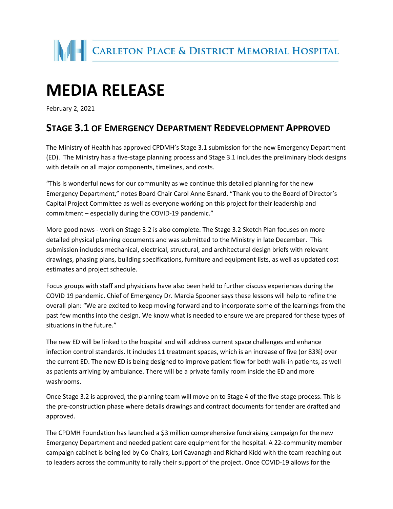

## **MEDIA RELEASE**

February 2, 2021

## **STAGE 3.1 OF EMERGENCY DEPARTMENT REDEVELOPMENT APPROVED**

The Ministry of Health has approved CPDMH's Stage 3.1 submission for the new Emergency Department (ED). The Ministry has a five-stage planning process and Stage 3.1 includes the preliminary block designs with details on all major components, timelines, and costs.

"This is wonderful news for our community as we continue this detailed planning for the new Emergency Department," notes Board Chair Carol Anne Esnard. "Thank you to the Board of Director's Capital Project Committee as well as everyone working on this project for their leadership and commitment – especially during the COVID-19 pandemic."

More good news - work on Stage 3.2 is also complete. The Stage 3.2 Sketch Plan focuses on more detailed physical planning documents and was submitted to the Ministry in late December. This submission includes mechanical, electrical, structural, and architectural design briefs with relevant drawings, phasing plans, building specifications, furniture and equipment lists, as well as updated cost estimates and project schedule.

Focus groups with staff and physicians have also been held to further discuss experiences during the COVID 19 pandemic. Chief of Emergency Dr. Marcia Spooner says these lessons will help to refine the overall plan: "We are excited to keep moving forward and to incorporate some of the learnings from the past few months into the design. We know what is needed to ensure we are prepared for these types of situations in the future."

The new ED will be linked to the hospital and will address current space challenges and enhance infection control standards. It includes 11 treatment spaces, which is an increase of five (or 83%) over the current ED. The new ED is being designed to improve patient flow for both walk-in patients, as well as patients arriving by ambulance. There will be a private family room inside the ED and more washrooms.

Once Stage 3.2 is approved, the planning team will move on to Stage 4 of the five-stage process. This is the pre-construction phase where details drawings and contract documents for tender are drafted and approved.

The CPDMH Foundation has launched a \$3 million comprehensive fundraising campaign for the new Emergency Department and needed patient care equipment for the hospital. A 22-community member campaign cabinet is being led by Co-Chairs, Lori Cavanagh and Richard Kidd with the team reaching out to leaders across the community to rally their support of the project. Once COVID-19 allows for the